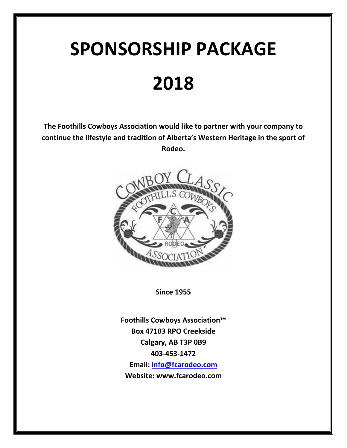# **SPONSORSHIP PACKAGE 2018**

**The Foothills Cowboys Association would like to partner with your company to continue the lifestyle and tradition of Alberta's Western Heritage in the sport of Rodeo.**



**Since 1955**

**Foothills Cowboys Association™ Box 47103 RPO Creekside Calgary, AB T3P 0B9 403-453-1472 Email: [info@fcarodeo.com](mailto:info@fcarodeo.com) Website: www.fcarodeo.com**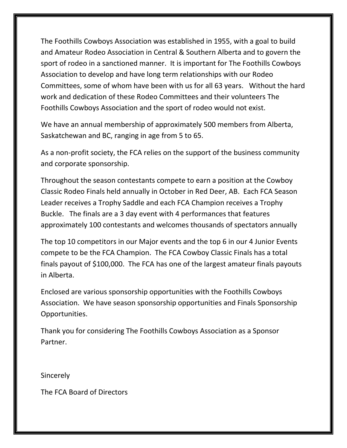The Foothills Cowboys Association was established in 1955, with a goal to build and Amateur Rodeo Association in Central & Southern Alberta and to govern the sport of rodeo in a sanctioned manner. It is important for The Foothills Cowboys Association to develop and have long term relationships with our Rodeo Committees, some of whom have been with us for all 63 years. Without the hard work and dedication of these Rodeo Committees and their volunteers The Foothills Cowboys Association and the sport of rodeo would not exist.

We have an annual membership of approximately 500 members from Alberta, Saskatchewan and BC, ranging in age from 5 to 65.

As a non-profit society, the FCA relies on the support of the business community and corporate sponsorship.

Throughout the season contestants compete to earn a position at the Cowboy Classic Rodeo Finals held annually in October in Red Deer, AB. Each FCA Season Leader receives a Trophy Saddle and each FCA Champion receives a Trophy Buckle. The finals are a 3 day event with 4 performances that features approximately 100 contestants and welcomes thousands of spectators annually

The top 10 competitors in our Major events and the top 6 in our 4 Junior Events compete to be the FCA Champion. The FCA Cowboy Classic Finals has a total finals payout of \$100,000. The FCA has one of the largest amateur finals payouts in Alberta.

Enclosed are various sponsorship opportunities with the Foothills Cowboys Association. We have season sponsorship opportunities and Finals Sponsorship Opportunities.

Thank you for considering The Foothills Cowboys Association as a Sponsor Partner.

**Sincerely** 

The FCA Board of Directors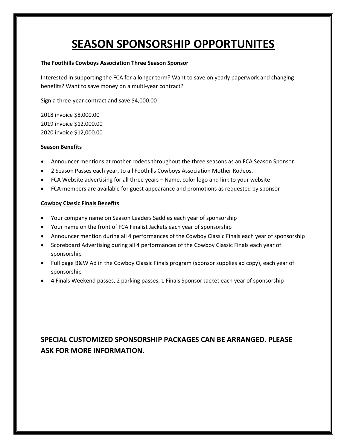# **SEASON SPONSORSHIP OPPORTUNITES**

#### **The Foothills Cowboys Association Three Season Sponsor**

Interested in supporting the FCA for a longer term? Want to save on yearly paperwork and changing benefits? Want to save money on a multi-year contract?

Sign a three-year contract and save \$4,000.00!

2018 invoice \$8,000.00 2019 invoice \$12,000.00 2020 invoice \$12,000.00

#### **Season Benefits**

- Announcer mentions at mother rodeos throughout the three seasons as an FCA Season Sponsor
- 2 Season Passes each year, to all Foothills Cowboys Association Mother Rodeos.
- FCA Website advertising for all three years Name, color logo and link to your website
- FCA members are available for guest appearance and promotions as requested by sponsor

#### **Cowboy Classic Finals Benefits**

- Your company name on Season Leaders Saddles each year of sponsorship
- Your name on the front of FCA Finalist Jackets each year of sponsorship
- Announcer mention during all 4 performances of the Cowboy Classic Finals each year of sponsorship
- Scoreboard Advertising during all 4 performances of the Cowboy Classic Finals each year of sponsorship
- Full page B&W Ad in the Cowboy Classic Finals program (sponsor supplies ad copy), each year of sponsorship
- 4 Finals Weekend passes, 2 parking passes, 1 Finals Sponsor Jacket each year of sponsorship

## **SPECIAL CUSTOMIZED SPONSORSHIP PACKAGES CAN BE ARRANGED. PLEASE ASK FOR MORE INFORMATION.**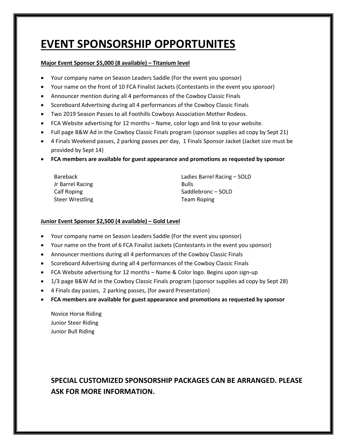# **EVENT SPONSORSHIP OPPORTUNITES**

#### **Major Event Sponsor \$5,000 (8 available) – Titanium level**

- Your company name on Season Leaders Saddle (For the event you sponsor)
- Your name on the front of 10 FCA Finalist Jackets (Contestants in the event you sponsor)
- Announcer mention during all 4 performances of the Cowboy Classic Finals
- Scoreboard Advertising during all 4 performances of the Cowboy Classic Finals
- Two 2019 Season Passes to all Foothills Cowboys Association Mother Rodeos.
- FCA Website advertising for 12 months Name, color logo and link to your website.
- Full page B&W Ad in the Cowboy Classic Finals program (sponsor supplies ad copy by Sept 21)
- 4 Finals Weekend passes, 2 parking passes per day, 1 Finals Sponsor Jacket (Jacket size must be provided by Sept 14)
- **FCA members are available for guest appearance and promotions as requested by sponsor**

| Bareback               | Ladies Barrel Racing - SOLD |
|------------------------|-----------------------------|
| Jr Barrel Racing       | <b>Bulls</b>                |
| Calf Roping            | Saddlebronc - SOLD          |
| <b>Steer Wrestling</b> | Team Roping                 |

#### **Junior Event Sponsor \$2,500 (4 available) – Gold Level**

- Your company name on Season Leaders Saddle (For the event you sponsor)
- Your name on the front of 6 FCA Finalist Jackets (Contestants in the event you sponsor)
- Announcer mentions during all 4 performances of the Cowboy Classic Finals
- Scoreboard Advertising during all 4 performances of the Cowboy Classic Finals
- FCA Website advertising for 12 months Name & Color logo. Begins upon sign-up
- 1/3 page B&W Ad in the Cowboy Classic Finals program (sponsor supplies ad copy by Sept 28)
- 4 Finals day passes, 2 parking passes, (for award Presentation)
- **FCA members are available for guest appearance and promotions as requested by sponsor**

Novice Horse Riding Junior Steer Riding Junior Bull Riding

## **SPECIAL CUSTOMIZED SPONSORSHIP PACKAGES CAN BE ARRANGED. PLEASE ASK FOR MORE INFORMATION.**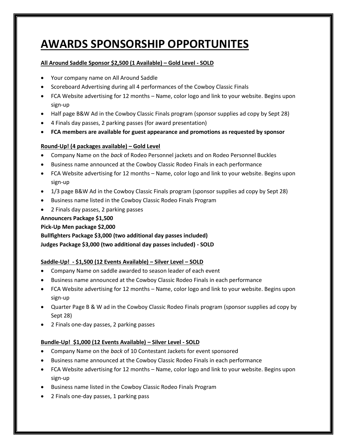## **AWARDS SPONSORSHIP OPPORTUNITES**

#### **All Around Saddle Sponsor \$2,500 (1 Available) – Gold Level - SOLD**

- Your company name on All Around Saddle
- Scoreboard Advertising during all 4 performances of the Cowboy Classic Finals
- FCA Website advertising for 12 months Name, color logo and link to your website. Begins upon sign-up
- Half page B&W Ad in the Cowboy Classic Finals program (sponsor supplies ad copy by Sept 28)
- 4 Finals day passes, 2 parking passes (for award presentation)
- **FCA members are available for guest appearance and promotions as requested by sponsor**

#### **Round-Up! (4 packages available) – Gold Level**

- Company Name on the *back* of Rodeo Personnel jackets and on Rodeo Personnel Buckles
- Business name announced at the Cowboy Classic Rodeo Finals in each performance
- FCA Website advertising for 12 months Name, color logo and link to your website. Begins upon sign-up
- 1/3 page B&W Ad in the Cowboy Classic Finals program (sponsor supplies ad copy by Sept 28)
- Business name listed in the Cowboy Classic Rodeo Finals Program
- 2 Finals day passes, 2 parking passes

#### **Announcers Package \$1,500**

#### **Pick-Up Men package \$2,000**

**Bullfighters Package \$3,000 (two additional day passes included) Judges Package \$3,000 (two additional day passes included) - SOLD**

#### **Saddle-Up! ‐ \$1,500 (12 Events Available) – Silver Level – SOLD**

- Company Name on saddle awarded to season leader of each event
- Business name announced at the Cowboy Classic Rodeo Finals in each performance
- FCA Website advertising for 12 months Name, color logo and link to your website. Begins upon sign-up
- Quarter Page B & W ad in the Cowboy Classic Rodeo Finals program (sponsor supplies ad copy by Sept 28)
- 2 Finals one-day passes, 2 parking passes

#### **Bundle-Up! \$1,000 (12 Events Available) – Silver Level - SOLD**

- Company Name on the *back* of 10 Contestant Jackets for event sponsored
- Business name announced at the Cowboy Classic Rodeo Finals in each performance
- FCA Website advertising for 12 months Name, color logo and link to your website. Begins upon sign-up
- Business name listed in the Cowboy Classic Rodeo Finals Program
- 2 Finals one-day passes, 1 parking pass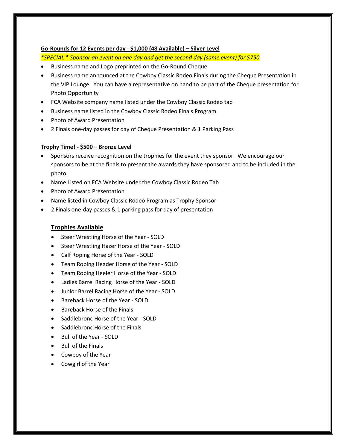#### **Go-Rounds for 12 Events per day ‐ \$1,000 (48 Available) – Silver Level**

*\*SPECIAL \* Sponsor an event on one day and get the second day (same event) for \$750*

- Business name and Logo preprinted on the Go-Round Cheque
- Business name announced at the Cowboy Classic Rodeo Finals during the Cheque Presentation in the VIP Lounge. You can have a representative on hand to be part of the Cheque presentation for Photo Opportunity
- FCA Website company name listed under the Cowboy Classic Rodeo tab
- Business name listed in the Cowboy Classic Rodeo Finals Program
- Photo of Award Presentation
- 2 Finals one‐day passes for day of Cheque Presentation & 1 Parking Pass

#### **Trophy Time! - \$500 – Bronze Level**

- Sponsors receive recognition on the trophies for the event they sponsor. We encourage our sponsors to be at the finals to present the awards they have sponsored and to be included in the photo.
- Name Listed on FCA Website under the Cowboy Classic Rodeo Tab
- Photo of Award Presentation
- Name listed in Cowboy Classic Rodeo Program as Trophy Sponsor
- 2 Finals one-day passes & 1 parking pass for day of presentation

#### **Trophies Available**

- Steer Wrestling Horse of the Year SOLD
- Steer Wrestling Hazer Horse of the Year SOLD
- Calf Roping Horse of the Year SOLD
- Team Roping Header Horse of the Year SOLD
- Team Roping Heeler Horse of the Year SOLD
- Ladies Barrel Racing Horse of the Year SOLD
- Junior Barrel Racing Horse of the Year SOLD
- Bareback Horse of the Year SOLD
- Bareback Horse of the Finals
- Saddlebronc Horse of the Year SOLD
- Saddlebronc Horse of the Finals
- Bull of the Year SOLD
- Bull of the Finals
- Cowboy of the Year
- Cowgirl of the Year